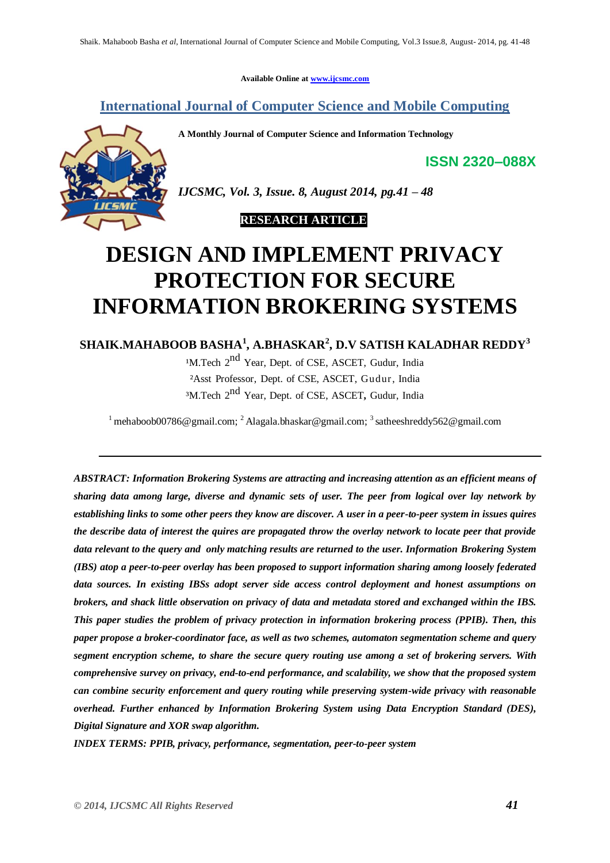**Available Online at [www.ijcsmc.com](http://www.ijcsmc.com/)**

# **International Journal of Computer Science and Mobile Computing**

**A Monthly Journal of Computer Science and Information Technology**

**ISSN 2320–088X**



*IJCSMC, Vol. 3, Issue. 8, August 2014, pg.41 – 48*

 **RESEARCH ARTICLE**

# **DESIGN AND IMPLEMENT PRIVACY PROTECTION FOR SECURE INFORMATION BROKERING SYSTEMS**

# **SHAIK.MAHABOOB BASHA<sup>1</sup> , A.BHASKAR<sup>2</sup> , D.V SATISH KALADHAR REDDY<sup>3</sup>**

<sup>1</sup>M.Tech 2<sup>nd</sup> Year, Dept. of CSE, ASCET, Gudur, India ²Asst Professor, Dept. of CSE, ASCET, Gudur, India ³M.Tech 2 nd Year, Dept. of CSE, ASCET**,** Gudur, India

<sup>1</sup> mehaboob00786@gmail.com; <sup>2</sup> Alagala.bhaskar@gmail.com; <sup>3</sup> satheeshreddy562@gmail.com

*ABSTRACT: Information Brokering Systems are attracting and increasing attention as an efficient means of sharing data among large, diverse and dynamic sets of user. The peer from logical over lay network by establishing links to some other peers they know are discover. A user in a peer-to-peer system in issues quires the describe data of interest the quires are propagated throw the overlay network to locate peer that provide data relevant to the query and only matching results are returned to the user. Information Brokering System (IBS) atop a peer-to-peer overlay has been proposed to support information sharing among loosely federated data sources. In existing IBSs adopt server side access control deployment and honest assumptions on brokers, and shack little observation on privacy of data and metadata stored and exchanged within the IBS. This paper studies the problem of privacy protection in information brokering process (PPIB). Then, this paper propose a broker-coordinator face, as well as two schemes, automaton segmentation scheme and query segment encryption scheme, to share the secure query routing use among a set of brokering servers. With comprehensive survey on privacy, end-to-end performance, and scalability, we show that the proposed system can combine security enforcement and query routing while preserving system-wide privacy with reasonable overhead. Further enhanced by Information Brokering System using Data Encryption Standard (DES), Digital Signature and XOR swap algorithm.*

*INDEX TERMS: PPIB, privacy, performance, segmentation, peer-to-peer system*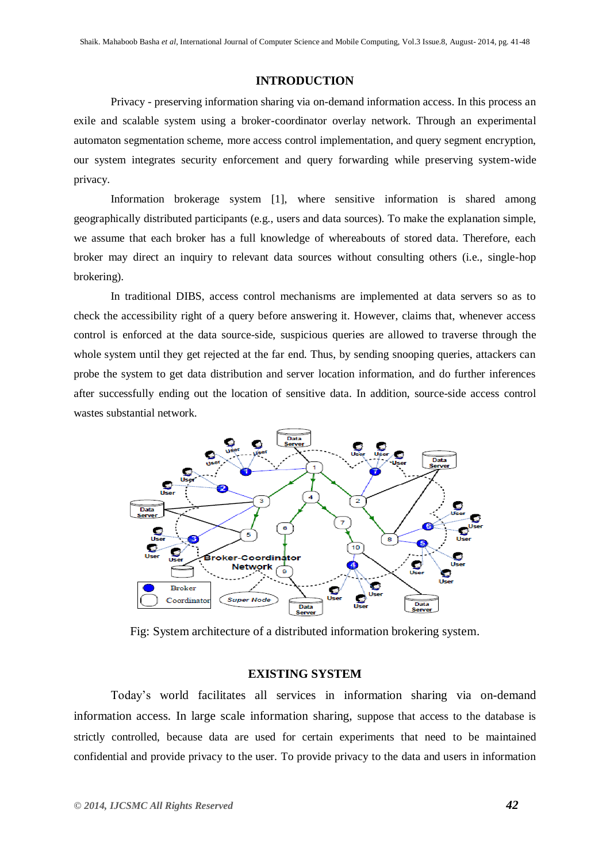#### **INTRODUCTION**

Privacy - preserving information sharing via on-demand information access. In this process an exile and scalable system using a broker-coordinator overlay network. Through an experimental automaton segmentation scheme, more access control implementation, and query segment encryption, our system integrates security enforcement and query forwarding while preserving system-wide privacy.

Information brokerage system [1], where sensitive information is shared among geographically distributed participants (e.g., users and data sources). To make the explanation simple, we assume that each broker has a full knowledge of whereabouts of stored data. Therefore, each broker may direct an inquiry to relevant data sources without consulting others (i.e., single-hop brokering).

In traditional DIBS, access control mechanisms are implemented at data servers so as to check the accessibility right of a query before answering it. However, claims that, whenever access control is enforced at the data source-side, suspicious queries are allowed to traverse through the whole system until they get rejected at the far end. Thus, by sending snooping queries, attackers can probe the system to get data distribution and server location information, and do further inferences after successfully ending out the location of sensitive data. In addition, source-side access control wastes substantial network.



Fig: System architecture of a distributed information brokering system.

# **EXISTING SYSTEM**

Today's world facilitates all services in information sharing via on-demand information access. In large scale information sharing, suppose that access to the database is strictly controlled, because data are used for certain experiments that need to be maintained confidential and provide privacy to the user. To provide privacy to the data and users in information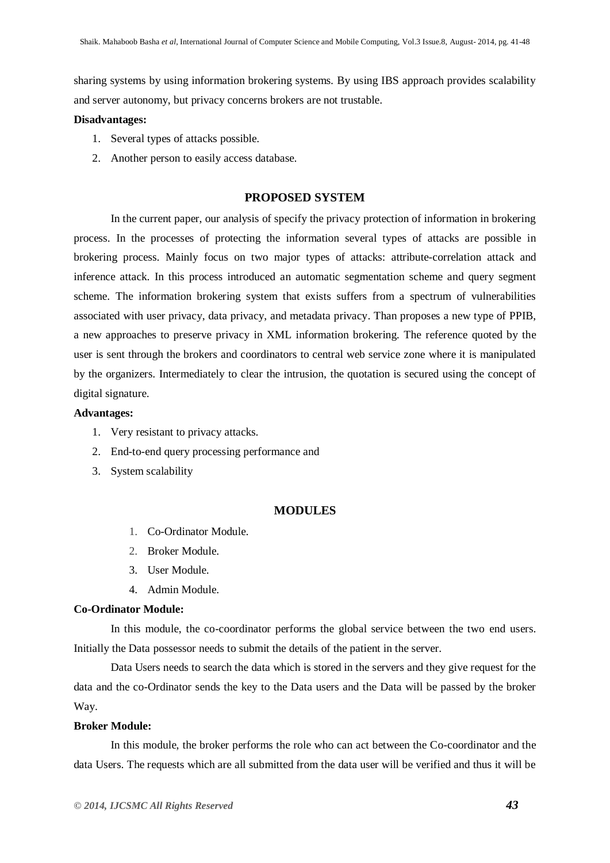sharing systems by using information brokering systems. By using IBS approach provides scalability and server autonomy, but privacy concerns brokers are not trustable.

#### **Disadvantages:**

- 1. Several types of attacks possible.
- 2. Another person to easily access database.

# **PROPOSED SYSTEM**

In the current paper, our analysis of specify the privacy protection of information in brokering process. In the processes of protecting the information several types of attacks are possible in brokering process. Mainly focus on two major types of attacks: attribute-correlation attack and inference attack. In this process introduced an automatic segmentation scheme and query segment scheme. The information brokering system that exists suffers from a spectrum of vulnerabilities associated with user privacy, data privacy, and metadata privacy. Than proposes a new type of PPIB, a new approaches to preserve privacy in XML information brokering. The reference quoted by the user is sent through the brokers and coordinators to central web service zone where it is manipulated by the organizers. Intermediately to clear the intrusion, the quotation is secured using the concept of digital signature.

#### **Advantages:**

- 1. Very resistant to privacy attacks.
- 2. End-to-end query processing performance and
- 3. System scalability

# **MODULES**

- 1. Co-Ordinator Module.
- 2. Broker Module.
- 3. User Module.
- 4. Admin Module.

#### **Co-Ordinator Module:**

In this module, the co-coordinator performs the global service between the two end users. Initially the Data possessor needs to submit the details of the patient in the server.

Data Users needs to search the data which is stored in the servers and they give request for the data and the co-Ordinator sends the key to the Data users and the Data will be passed by the broker Way.

#### **Broker Module:**

In this module, the broker performs the role who can act between the Co-coordinator and the data Users. The requests which are all submitted from the data user will be verified and thus it will be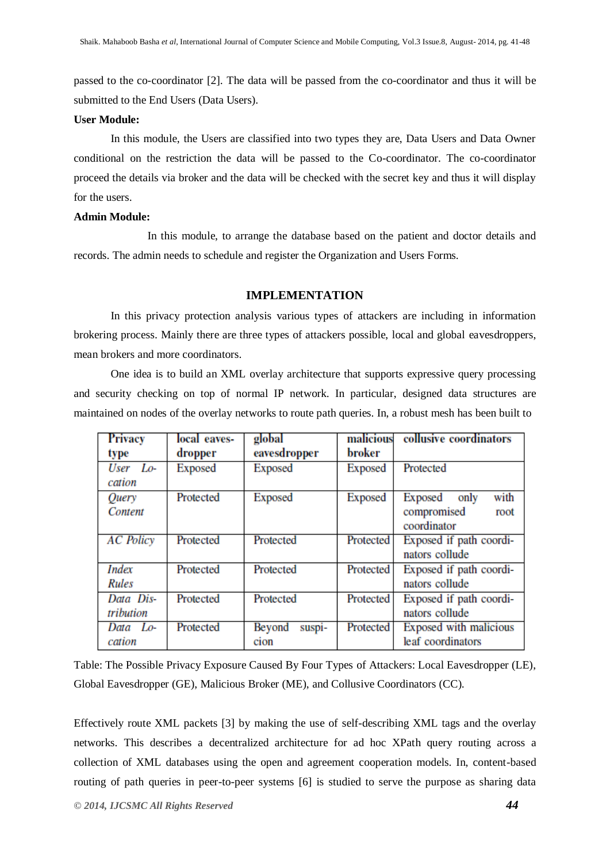passed to the co-coordinator [2]. The data will be passed from the co-coordinator and thus it will be submitted to the End Users (Data Users).

#### **User Module:**

In this module, the Users are classified into two types they are, Data Users and Data Owner conditional on the restriction the data will be passed to the Co-coordinator. The co-coordinator proceed the details via broker and the data will be checked with the secret key and thus it will display for the users.

# **Admin Module:**

In this module, to arrange the database based on the patient and doctor details and records. The admin needs to schedule and register the Organization and Users Forms.

#### **IMPLEMENTATION**

In this privacy protection analysis various types of attackers are including in information brokering process. Mainly there are three types of attackers possible, local and global eavesdroppers, mean brokers and more coordinators.

One idea is to build an XML overlay architecture that supports expressive query processing and security checking on top of normal IP network. In particular, designed data structures are maintained on nodes of the overlay networks to route path queries. In, a robust mesh has been built to

| <b>Privacy</b>         | local eaves- | global                   | malicious | collusive coordinators                                        |
|------------------------|--------------|--------------------------|-----------|---------------------------------------------------------------|
| type                   | dropper      | eavesdropper             | broker    |                                                               |
| User Lo-<br>cation     | Exposed      | Exposed                  | Exposed   | Protected                                                     |
| Query<br>Content       | Protected    | Exposed                  | Exposed   | with<br>Exposed<br>only<br>compromised<br>root<br>coordinator |
| <b>AC</b> Policy       | Protected    | Protected                | Protected | Exposed if path coordi-<br>nators collude                     |
| <b>Index</b><br>Rules  | Protected    | Protected                | Protected | Exposed if path coordi-<br>nators collude                     |
| Data Dis-<br>tribution | Protected    | Protected                | Protected | Exposed if path coordi-<br>nators collude                     |
| Data Lo-<br>cation     | Protected    | suspi-<br>Beyond<br>cion | Protected | Exposed with malicious<br>leaf coordinators                   |

Table: The Possible Privacy Exposure Caused By Four Types of Attackers: Local Eavesdropper (LE), Global Eavesdropper (GE), Malicious Broker (ME), and Collusive Coordinators (CC).

Effectively route XML packets [3] by making the use of self-describing XML tags and the overlay networks. This describes a decentralized architecture for ad hoc XPath query routing across a collection of XML databases using the open and agreement cooperation models. In, content-based routing of path queries in peer-to-peer systems [6] is studied to serve the purpose as sharing data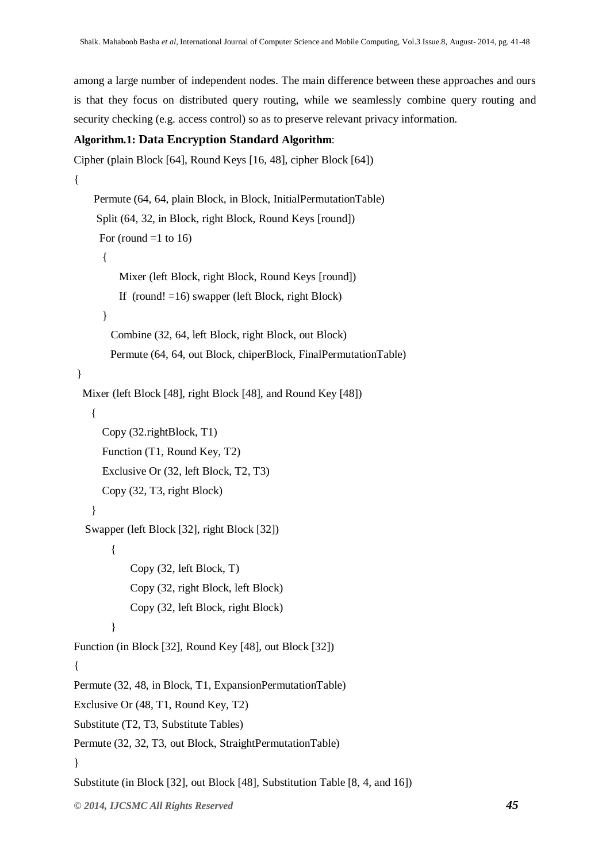among a large number of independent nodes. The main difference between these approaches and ours is that they focus on distributed query routing, while we seamlessly combine query routing and security checking (e.g. access control) so as to preserve relevant privacy information.

# **Algorithm.1: Data Encryption Standard Algorithm**:

```
© 2014, IJCSMC All Rights Reserved 45
Cipher (plain Block [64], Round Keys [16, 48], cipher Block [64])
{
     Permute (64, 64, plain Block, in Block, InitialPermutationTable)
     Split (64, 32, in Block, right Block, Round Keys [round])
     For (round =1 to 16)
       {
          Mixer (left Block, right Block, Round Keys [round])
         If (round! =16) swapper (left Block, right Block)
       }
        Combine (32, 64, left Block, right Block, out Block)
        Permute (64, 64, out Block, chiperBlock, FinalPermutationTable)
}
  Mixer (left Block [48], right Block [48], and Round Key [48])
    {
       Copy (32.rightBlock, T1)
       Function (T1, Round Key, T2)
       Exclusive Or (32, left Block, T2, T3)
       Copy (32, T3, right Block)
    }
   Swapper (left Block [32], right Block [32])
        {
             Copy (32, left Block, T)
             Copy (32, right Block, left Block)
             Copy (32, left Block, right Block) 
         } 
Function (in Block [32], Round Key [48], out Block [32])
{
Permute (32, 48, in Block, T1, ExpansionPermutationTable)
Exclusive Or (48, T1, Round Key, T2)
Substitute (T2, T3, Substitute Tables)
Permute (32, 32, T3, out Block, StraightPermutationTable)
}
Substitute (in Block [32], out Block [48], Substitution Table [8, 4, and 16])
```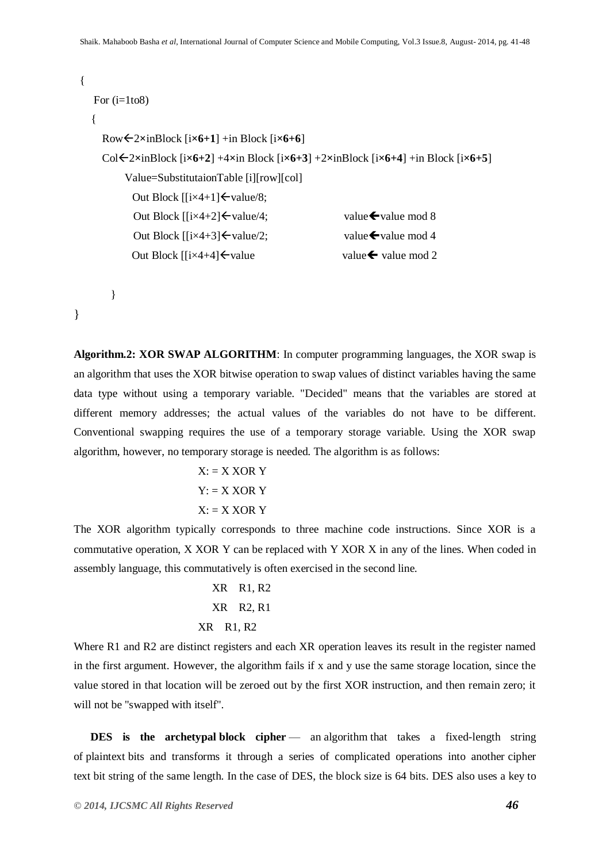```
 {
   For (i=1to8) {
      Row2×inBlock [i×6+1] +in Block [i×6+6]
     Col\leq2×inBlock [i\times6+2] +4×in Block [i\times6+3] +2×inBlock [i\times6+4] +in Block [i\times6+5]
             Value=SubstitutaionTable [i][row][col]
             Out Block \left[\frac{i\times4+1}{\text{value}}\right]Out Block [[i \times 4+2] \leftarrowvalue\neq 4; value\leftarrowvalue mod 8
              Out Block \left[\frac{i \times 4 + 3}{\sqrt{2}}\right] value \frac{1}{2} value \frac{1}{2} value mod 4
             Out Block \left[\frac{i \times 4 + 4}{\sqrt{2}}\right] value value value walue mod 2
```

```
}
```
}

**Algorithm.2: XOR SWAP ALGORITHM**: In computer programming languages, the XOR swap is an algorithm that uses the XOR bitwise operation to swap values of distinct variables having the same data type without using a temporary variable. "Decided" means that the variables are stored at different memory addresses; the actual values of the variables do not have to be different. Conventional swapping requires the use of a temporary storage variable. Using the XOR swap algorithm, however, no temporary storage is needed. The algorithm is as follows:

$$
X: = X \text{ XOR } Y
$$

$$
Y: = X \text{ XOR } Y
$$

$$
X: = X \text{ XOR } Y
$$

The XOR algorithm typically corresponds to three machine code instructions. Since XOR is a commutative operation, X XOR Y can be replaced with Y XOR X in any of the lines. When coded in assembly language, this commutatively is often exercised in the second line.

> XR R1, R2 XR R2, R1 XR R1, R2

Where R1 and R2 are distinct registers and each XR operation leaves its result in the register named in the first argument. However, the algorithm fails if x and y use the same storage location, since the value stored in that location will be zeroed out by the first XOR instruction, and then remain zero; it will not be "swapped with itself".

**DES** is the archetypal block cipher — an algorithm that takes a fixed-length string of plaintext bits and transforms it through a series of complicated operations into another cipher text bit string of the same length. In the case of DES, the block size is 64 bits. DES also uses a key to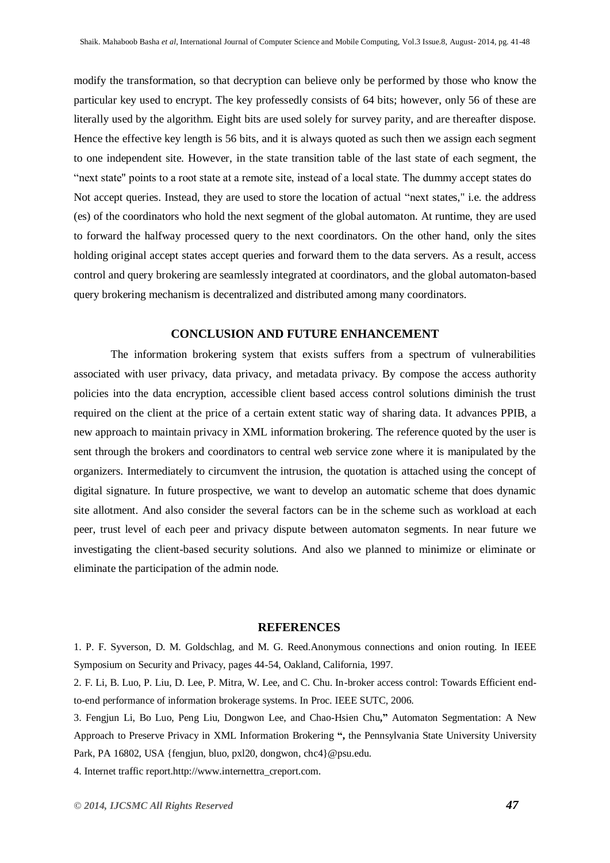modify the transformation, so that decryption can believe only be performed by those who know the particular key used to encrypt. The key professedly consists of 64 bits; however, only 56 of these are literally used by the algorithm. Eight bits are used solely for survey parity, and are thereafter dispose. Hence the effective key length is 56 bits, and it is always quoted as such then we assign each segment to one independent site. However, in the state transition table of the last state of each segment, the "next state" points to a root state at a remote site, instead of a local state. The dummy accept states do Not accept queries. Instead, they are used to store the location of actual "next states," i.e. the address (es) of the coordinators who hold the next segment of the global automaton. At runtime, they are used to forward the halfway processed query to the next coordinators. On the other hand, only the sites holding original accept states accept queries and forward them to the data servers. As a result, access control and query brokering are seamlessly integrated at coordinators, and the global automaton-based query brokering mechanism is decentralized and distributed among many coordinators.

### **CONCLUSION AND FUTURE ENHANCEMENT**

The information brokering system that exists suffers from a spectrum of vulnerabilities associated with user privacy, data privacy, and metadata privacy. By compose the access authority policies into the data encryption, accessible client based access control solutions diminish the trust required on the client at the price of a certain extent static way of sharing data. It advances PPIB, a new approach to maintain privacy in XML information brokering. The reference quoted by the user is sent through the brokers and coordinators to central web service zone where it is manipulated by the organizers. Intermediately to circumvent the intrusion, the quotation is attached using the concept of digital signature. In future prospective, we want to develop an automatic scheme that does dynamic site allotment. And also consider the several factors can be in the scheme such as workload at each peer, trust level of each peer and privacy dispute between automaton segments. In near future we investigating the client-based security solutions. And also we planned to minimize or eliminate or eliminate the participation of the admin node.

#### **REFERENCES**

1. P. F. Syverson, D. M. Goldschlag, and M. G. Reed.Anonymous connections and onion routing. In IEEE Symposium on Security and Privacy, pages 44-54, Oakland, California, 1997.

2. F. Li, B. Luo, P. Liu, D. Lee, P. Mitra, W. Lee, and C. Chu. In-broker access control: Towards Efficient endto-end performance of information brokerage systems. In Proc. IEEE SUTC, 2006.

3. Fengjun Li, Bo Luo, Peng Liu, Dongwon Lee, and Chao-Hsien Chu**,"** Automaton Segmentation: A New Approach to Preserve Privacy in XML Information Brokering **",** the Pennsylvania State University University Park, PA 16802, USA {fengjun, bluo, pxl20, dongwon, [chc4}@psu.edu.](mailto:chc4%7D@psu.edu)

4. Internet traffic report.http://www.internettra\_creport.com.